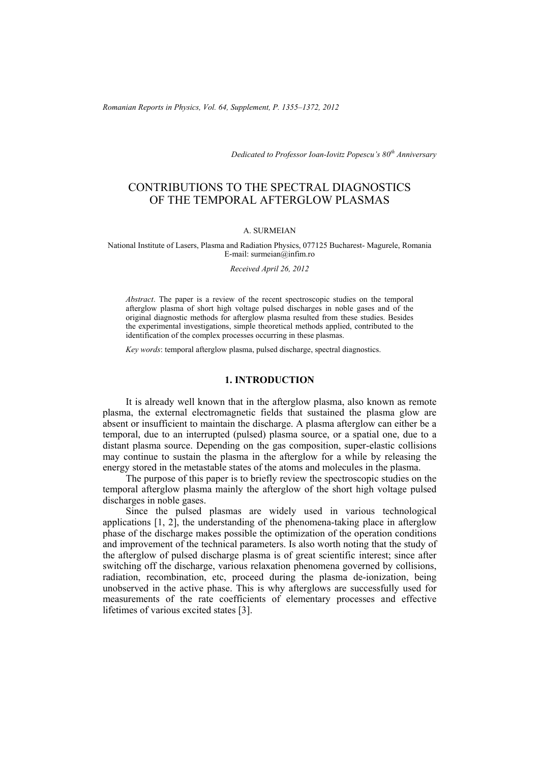*Romanian Reports in Physics, Vol. 64, Supplement, P. 1355–1372, 2012*

*Dedicated to Professor Ioan-Iovitz Popescu's 80th Anniversary*

# CONTRIBUTIONS TO THE SPECTRAL DIAGNOSTICS OF THE TEMPORAL AFTERGLOW PLASMAS

#### A. SURMEIAN

National Institute of Lasers, Plasma and Radiation Physics, 077125 Bucharest- Magurele, Romania E-mail: surmeian@infim.ro

*Received April 26, 2012* 

*Abstract*. The paper is a review of the recent spectroscopic studies on the temporal afterglow plasma of short high voltage pulsed discharges in noble gases and of the original diagnostic methods for afterglow plasma resulted from these studies. Besides the experimental investigations, simple theoretical methods applied, contributed to the identification of the complex processes occurring in these plasmas.

*Key words*: temporal afterglow plasma, pulsed discharge, spectral diagnostics.

#### **1. INTRODUCTION**

It is already well known that in the afterglow plasma, also known as remote plasma, the external electromagnetic fields that sustained the plasma glow are absent or insufficient to maintain the discharge. A plasma afterglow can either be a temporal, due to an interrupted (pulsed) plasma source, or a spatial one, due to a distant plasma source. Depending on the gas composition, super-elastic collisions may continue to sustain the plasma in the afterglow for a while by releasing the energy stored in the metastable states of the atoms and molecules in the plasma.

The purpose of this paper is to briefly review the spectroscopic studies on the temporal afterglow plasma mainly the afterglow of the short high voltage pulsed discharges in noble gases.

Since the pulsed plasmas are widely used in various technological applications [1, 2], the understanding of the phenomena-taking place in afterglow phase of the discharge makes possible the optimization of the operation conditions and improvement of the technical parameters. Is also worth noting that the study of the afterglow of pulsed discharge plasma is of great scientific interest; since after switching off the discharge, various relaxation phenomena governed by collisions, radiation, recombination, etc, proceed during the plasma de-ionization, being unobserved in the active phase. This is why afterglows are successfully used for measurements of the rate coefficients of elementary processes and effective lifetimes of various excited states [3].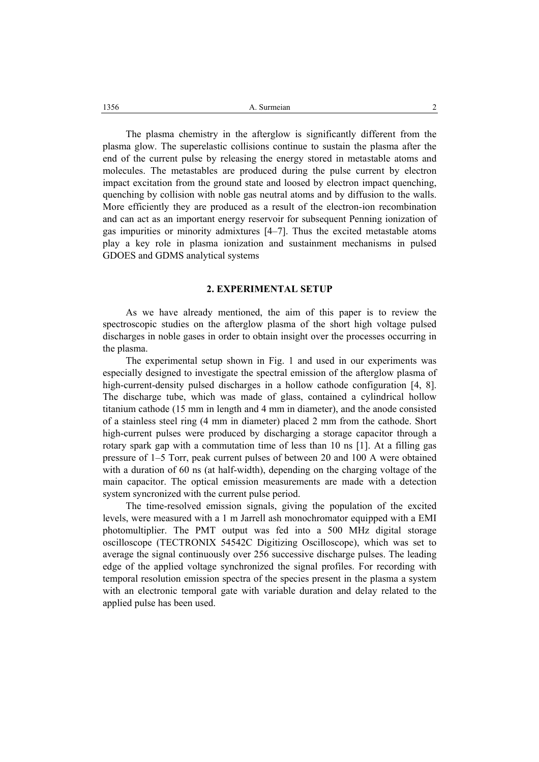A. Surmeian 2 1356

The plasma chemistry in the afterglow is significantly different from the plasma glow. The superelastic collisions continue to sustain the plasma after the end of the current pulse by releasing the energy stored in metastable atoms and molecules. The metastables are produced during the pulse current by electron impact excitation from the ground state and loosed by electron impact quenching, quenching by collision with noble gas neutral atoms and by diffusion to the walls. More efficiently they are produced as a result of the electron-ion recombination and can act as an important energy reservoir for subsequent Penning ionization of gas impurities or minority admixtures [4–7]. Thus the excited metastable atoms play a key role in plasma ionization and sustainment mechanisms in pulsed GDOES and GDMS analytical systems

### **2. EXPERIMENTAL SETUP**

As we have already mentioned, the aim of this paper is to review the spectroscopic studies on the afterglow plasma of the short high voltage pulsed discharges in noble gases in order to obtain insight over the processes occurring in the plasma.

The experimental setup shown in Fig. 1 and used in our experiments was especially designed to investigate the spectral emission of the afterglow plasma of high-current-density pulsed discharges in a hollow cathode configuration [4, 8]. The discharge tube, which was made of glass, contained a cylindrical hollow titanium cathode (15 mm in length and 4 mm in diameter), and the anode consisted of a stainless steel ring (4 mm in diameter) placed 2 mm from the cathode. Short high-current pulses were produced by discharging a storage capacitor through a rotary spark gap with a commutation time of less than 10 ns [1]. At a filling gas pressure of 1–5 Torr, peak current pulses of between 20 and 100 A were obtained with a duration of 60 ns (at half-width), depending on the charging voltage of the main capacitor. The optical emission measurements are made with a detection system syncronized with the current pulse period.

The time-resolved emission signals, giving the population of the excited levels, were measured with a 1 m Jarrell ash monochromator equipped with a EMI photomultiplier. The PMT output was fed into a 500 MHz digital storage oscilloscope (TECTRONIX 54542C Digitizing Oscilloscope), which was set to average the signal continuously over 256 successive discharge pulses. The leading edge of the applied voltage synchronized the signal profiles. For recording with temporal resolution emission spectra of the species present in the plasma a system with an electronic temporal gate with variable duration and delay related to the applied pulse has been used.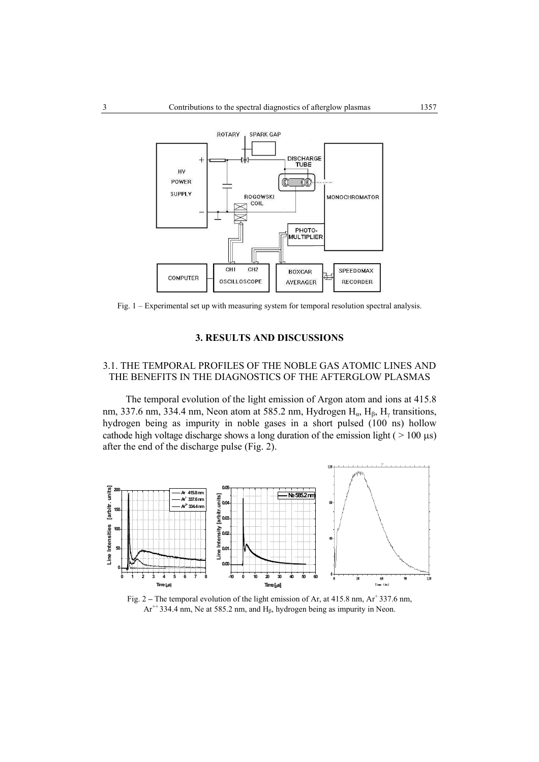

Fig. 1 – Experimental set up with measuring system for temporal resolution spectral analysis.

#### **3. RESULTS AND DISCUSSIONS**

## 3.1. THE TEMPORAL PROFILES OF THE NOBLE GAS ATOMIC LINES AND THE BENEFITS IN THE DIAGNOSTICS OF THE AFTERGLOW PLASMAS

The temporal evolution of the light emission of Argon atom and ions at 415.8 nm, 337.6 nm, 334.4 nm, Neon atom at 585.2 nm, Hydrogen  $H_{\alpha}$ ,  $H_{\beta}$ ,  $H_{\gamma}$  transitions, hydrogen being as impurity in noble gases in a short pulsed (100 ns) hollow cathode high voltage discharge shows a long duration of the emission light ( $> 100 \mu s$ ) after the end of the discharge pulse (Fig. 2).



Fig. 2 – The temporal evolution of the light emission of Ar, at 415.8 nm, Ar<sup>+</sup> 337.6 nm,  $Ar^{++}$  334.4 nm, Ne at 585.2 nm, and  $H_8$ , hydrogen being as impurity in Neon.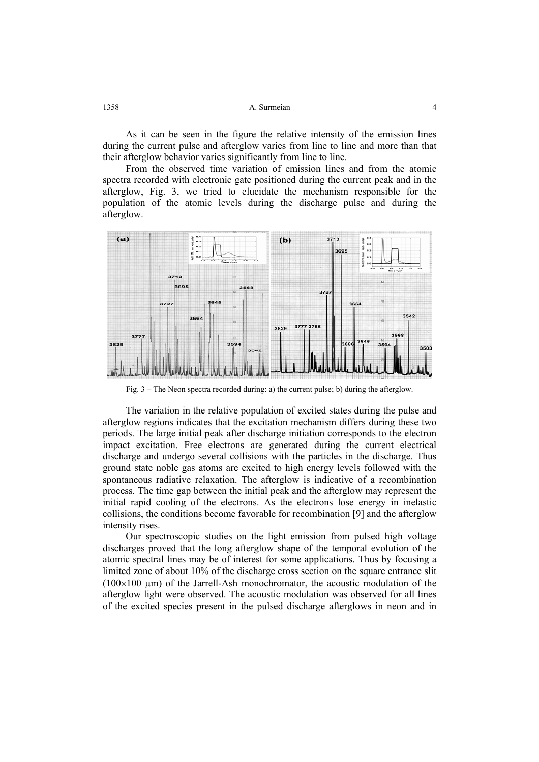| 1358 | A. Surmeian |  |
|------|-------------|--|
|------|-------------|--|

As it can be seen in the figure the relative intensity of the emission lines during the current pulse and afterglow varies from line to line and more than that their afterglow behavior varies significantly from line to line.

From the observed time variation of emission lines and from the atomic spectra recorded with electronic gate positioned during the current peak and in the afterglow, Fig. 3, we tried to elucidate the mechanism responsible for the population of the atomic levels during the discharge pulse and during the afterglow.



Fig. 3 – The Neon spectra recorded during: a) the current pulse; b) during the afterglow.

The variation in the relative population of excited states during the pulse and afterglow regions indicates that the excitation mechanism differs during these two periods. The large initial peak after discharge initiation corresponds to the electron impact excitation. Free electrons are generated during the current electrical discharge and undergo several collisions with the particles in the discharge. Thus ground state noble gas atoms are excited to high energy levels followed with the spontaneous radiative relaxation. The afterglow is indicative of a recombination process. The time gap between the initial peak and the afterglow may represent the initial rapid cooling of the electrons. As the electrons lose energy in inelastic collisions, the conditions become favorable for recombination [9] and the afterglow intensity rises.

Our spectroscopic studies on the light emission from pulsed high voltage discharges proved that the long afterglow shape of the temporal evolution of the atomic spectral lines may be of interest for some applications. Thus by focusing a limited zone of about 10% of the discharge cross section on the square entrance slit  $(100\times100 \mu m)$  of the Jarrell-Ash monochromator, the acoustic modulation of the afterglow light were observed. The acoustic modulation was observed for all lines of the excited species present in the pulsed discharge afterglows in neon and in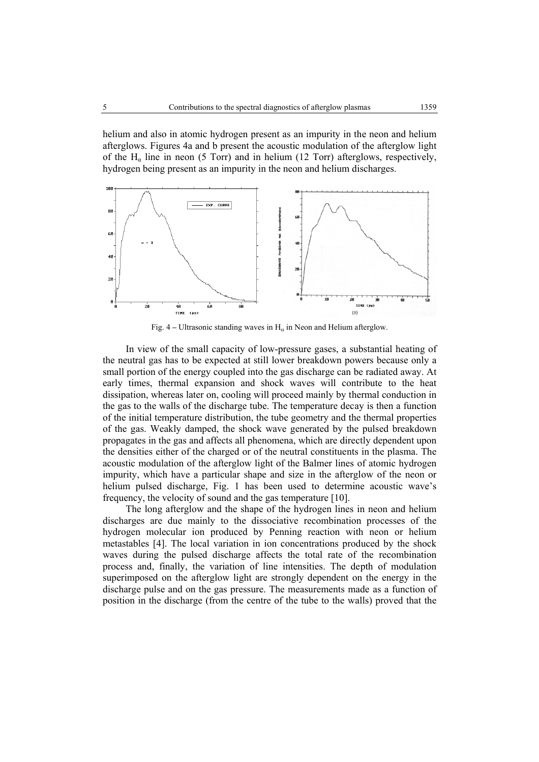helium and also in atomic hydrogen present as an impurity in the neon and helium afterglows. Figures 4a and b present the acoustic modulation of the afterglow light of the  $H<sub>α</sub>$  line in neon (5 Torr) and in helium (12 Torr) afterglows, respectively, hydrogen being present as an impurity in the neon and helium discharges.



Fig. 4 – Ultrasonic standing waves in  $H_\alpha$  in Neon and Helium afterglow.

In view of the small capacity of low-pressure gases, a substantial heating of the neutral gas has to be expected at still lower breakdown powers because only a small portion of the energy coupled into the gas discharge can be radiated away. At early times, thermal expansion and shock waves will contribute to the heat dissipation, whereas later on, cooling will proceed mainly by thermal conduction in the gas to the walls of the discharge tube. The temperature decay is then a function of the initial temperature distribution, the tube geometry and the thermal properties of the gas. Weakly damped, the shock wave generated by the pulsed breakdown propagates in the gas and affects all phenomena, which are directly dependent upon the densities either of the charged or of the neutral constituents in the plasma. The acoustic modulation of the afterglow light of the Balmer lines of atomic hydrogen impurity, which have a particular shape and size in the afterglow of the neon or helium pulsed discharge, Fig. 1 has been used to determine acoustic wave's frequency, the velocity of sound and the gas temperature [10].

The long afterglow and the shape of the hydrogen lines in neon and helium discharges are due mainly to the dissociative recombination processes of the hydrogen molecular ion produced by Penning reaction with neon or helium metastables [4]. The local variation in ion concentrations produced by the shock waves during the pulsed discharge affects the total rate of the recombination process and, finally, the variation of line intensities. The depth of modulation superimposed on the afterglow light are strongly dependent on the energy in the discharge pulse and on the gas pressure. The measurements made as a function of position in the discharge (from the centre of the tube to the walls) proved that the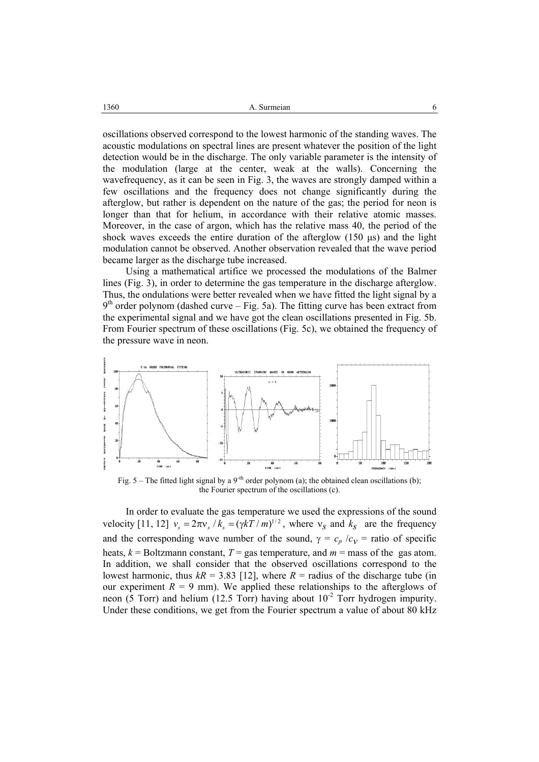1360 **A.** Surmeian 6

oscillations observed correspond to the lowest harmonic of the standing waves. The acoustic modulations on spectral lines are present whatever the position of the light detection would be in the discharge. The only variable parameter is the intensity of the modulation (large at the center, weak at the walls). Concerning the wavefrequency, as it can be seen in Fig. 3, the waves are strongly damped within a few oscillations and the frequency does not change significantly during the afterglow, but rather is dependent on the nature of the gas; the period for neon is longer than that for helium, in accordance with their relative atomic masses. Moreover, in the case of argon, which has the relative mass 40, the period of the shock waves exceeds the entire duration of the afterglow (150 µs) and the light modulation cannot be observed. Another observation revealed that the wave period became larger as the discharge tube increased.

Using a mathematical artifice we processed the modulations of the Balmer lines (Fig. 3), in order to determine the gas temperature in the discharge afterglow. Thus, the ondulations were better revealed when we have fitted the light signal by a  $9<sup>th</sup>$  order polynom (dashed curve – Fig. 5a). The fitting curve has been extract from the experimental signal and we have got the clean oscillations presented in Fig. 5b. From Fourier spectrum of these oscillations (Fig. 5c), we obtained the frequency of the pressure wave in neon.



Fig. 5 – The fitted light signal by a 9<sup>-th</sup> order polynom (a); the obtained clean oscillations (b); the Fourier spectrum of the oscillations (c).

In order to evaluate the gas temperature we used the expressions of the sound velocity [11, 12]  $v_s = 2\pi v_s / k_s = (\gamma kT / m)^{1/2}$ , where  $v_s$  and  $k_s$  are the frequency and the corresponding wave number of the sound,  $\gamma = c_p / c_v$  = ratio of specific heats,  $k =$  Boltzmann constant,  $T =$  gas temperature, and  $m =$  mass of the gas atom. In addition, we shall consider that the observed oscillations correspond to the lowest harmonic, thus  $k = 3.83$  [12], where  $R =$  radius of the discharge tube (in our experiment  $R = 9$  mm). We applied these relationships to the afterglows of neon (5 Torr) and helium (12.5 Torr) having about  $10^{-2}$  Torr hydrogen impurity. Under these conditions, we get from the Fourier spectrum a value of about 80 kHz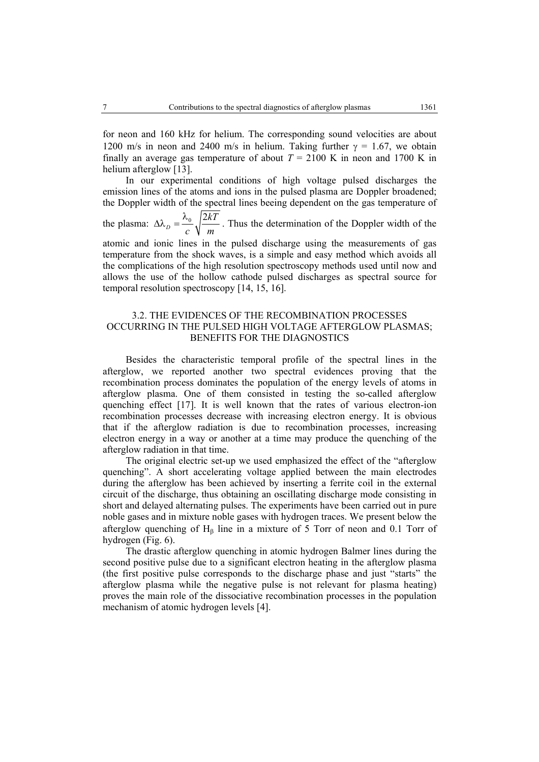for neon and 160 kHz for helium. The corresponding sound velocities are about 1200 m/s in neon and 2400 m/s in helium. Taking further  $\gamma = 1.67$ , we obtain finally an average gas temperature of about  $T = 2100$  K in neon and 1700 K in helium afterglow [13].

 In our experimental conditions of high voltage pulsed discharges the emission lines of the atoms and ions in the pulsed plasma are Doppler broadened; the Doppler width of the spectral lines beeing dependent on the gas temperature of

the plasma:  $\Delta\lambda_D = \frac{\lambda_0}{\lambda_0} \sqrt{\frac{2kT}{m}}$ *c m*  $\Delta\lambda_p = \frac{\lambda_0}{\sqrt{2kT}}$ . Thus the determination of the Doppler width of the

atomic and ionic lines in the pulsed discharge using the measurements of gas temperature from the shock waves, is a simple and easy method which avoids all the complications of the high resolution spectroscopy methods used until now and allows the use of the hollow cathode pulsed discharges as spectral source for temporal resolution spectroscopy [14, 15, 16].

## 3.2. THE EVIDENCES OF THE RECOMBINATION PROCESSES OCCURRING IN THE PULSED HIGH VOLTAGE AFTERGLOW PLASMAS; BENEFITS FOR THE DIAGNOSTICS

Besides the characteristic temporal profile of the spectral lines in the afterglow, we reported another two spectral evidences proving that the recombination process dominates the population of the energy levels of atoms in afterglow plasma. One of them consisted in testing the so-called afterglow quenching effect [17]. It is well known that the rates of various electron-ion recombination processes decrease with increasing electron energy. It is obvious that if the afterglow radiation is due to recombination processes, increasing electron energy in a way or another at a time may produce the quenching of the afterglow radiation in that time.

The original electric set-up we used emphasized the effect of the "afterglow quenching". A short accelerating voltage applied between the main electrodes during the afterglow has been achieved by inserting a ferrite coil in the external circuit of the discharge, thus obtaining an oscillating discharge mode consisting in short and delayed alternating pulses. The experiments have been carried out in pure noble gases and in mixture noble gases with hydrogen traces. We present below the afterglow quenching of  $H_\beta$  line in a mixture of 5 Torr of neon and 0.1 Torr of hydrogen (Fig. 6).

The drastic afterglow quenching in atomic hydrogen Balmer lines during the second positive pulse due to a significant electron heating in the afterglow plasma (the first positive pulse corresponds to the discharge phase and just "starts" the afterglow plasma while the negative pulse is not relevant for plasma heating) proves the main role of the dissociative recombination processes in the population mechanism of atomic hydrogen levels [4].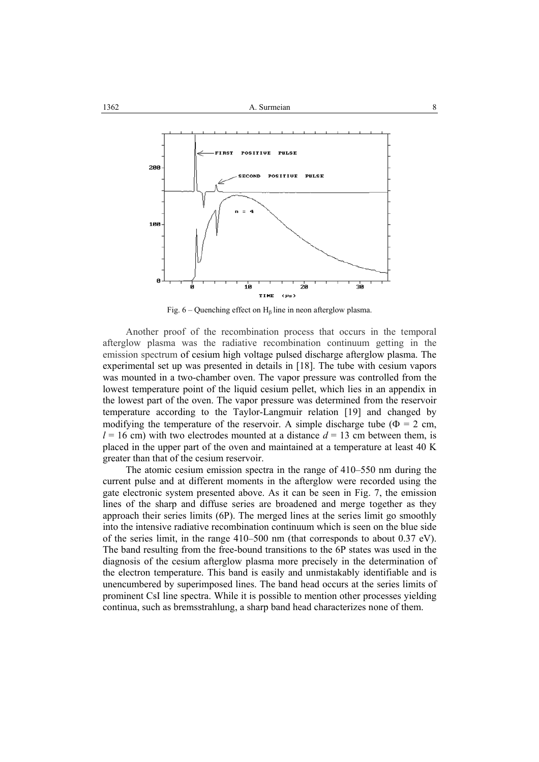

Fig.  $6 -$ Quenching effect on H<sub>β</sub> line in neon afterglow plasma.

Another proof of the recombination process that occurs in the temporal afterglow plasma was the radiative recombination continuum getting in the emission spectrum of cesium high voltage pulsed discharge afterglow plasma. The experimental set up was presented in details in [18]. The tube with cesium vapors was mounted in a two-chamber oven. The vapor pressure was controlled from the lowest temperature point of the liquid cesium pellet, which lies in an appendix in the lowest part of the oven. The vapor pressure was determined from the reservoir temperature according to the Taylor-Langmuir relation [19] and changed by modifying the temperature of the reservoir. A simple discharge tube ( $\Phi = 2$  cm,  $l = 16$  cm) with two electrodes mounted at a distance  $d = 13$  cm between them, is placed in the upper part of the oven and maintained at a temperature at least 40 K greater than that of the cesium reservoir.

The atomic cesium emission spectra in the range of 410–550 nm during the current pulse and at different moments in the afterglow were recorded using the gate electronic system presented above. As it can be seen in Fig. 7, the emission lines of the sharp and diffuse series are broadened and merge together as they approach their series limits (6P). The merged lines at the series limit go smoothly into the intensive radiative recombination continuum which is seen on the blue side of the series limit, in the range 410–500 nm (that corresponds to about 0.37 eV). The band resulting from the free-bound transitions to the 6P states was used in the diagnosis of the cesium afterglow plasma more precisely in the determination of the electron temperature. This band is easily and unmistakably identifiable and is unencumbered by superimposed lines. The band head occurs at the series limits of prominent CsI line spectra. While it is possible to mention other processes yielding continua, such as bremsstrahlung, a sharp band head characterizes none of them.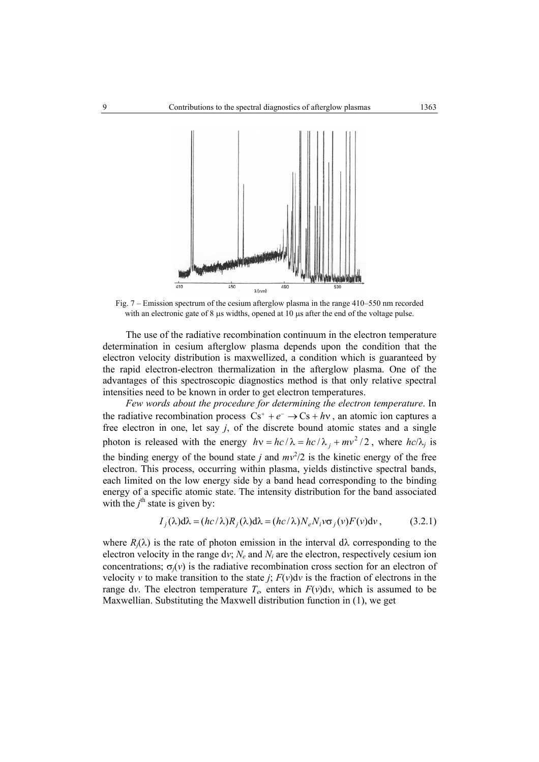

Fig. 7 – Emission spectrum of the cesium afterglow plasma in the range 410–550 nm recorded with an electronic gate of 8 µs widths, opened at 10 µs after the end of the voltage pulse.

The use of the radiative recombination continuum in the electron temperature determination in cesium afterglow plasma depends upon the condition that the electron velocity distribution is maxwellized, a condition which is guaranteed by the rapid electron-electron thermalization in the afterglow plasma. One of the advantages of this spectroscopic diagnostics method is that only relative spectral intensities need to be known in order to get electron temperatures.

*Few words about the procedure for determining the electron temperature*. In the radiative recombination process  $Cs^+ + e^- \rightarrow Cs + hv$ , an atomic ion captures a free electron in one, let say *j*, of the discrete bound atomic states and a single photon is released with the energy  $h\nu = hc/\lambda = hc/\lambda_i + mv^2/2$ , where  $hc/\lambda_i$  is the binding energy of the bound state *j* and  $mv^2/2$  is the kinetic energy of the free electron. This process, occurring within plasma, yields distinctive spectral bands, each limited on the low energy side by a band head corresponding to the binding energy of a specific atomic state. The intensity distribution for the band associated with the  $j^{\text{th}}$  state is given by:

$$
I_j(\lambda) d\lambda = (hc/\lambda) R_j(\lambda) d\lambda = (hc/\lambda) N_e N_i v \sigma_j(v) F(v) dv,
$$
 (3.2.1)

where  $R_j(\lambda)$  is the rate of photon emission in the interval  $d\lambda$  corresponding to the electron velocity in the range dv;  $N_e$  and  $N_i$  are the electron, respectively cesium ion concentrations;  $\sigma_i(v)$  is the radiative recombination cross section for an electron of velocity *v* to make transition to the state *j*;  $F(v)dv$  is the fraction of electrons in the range dv. The electron temperature  $T_e$ , enters in  $F(v)dv$ , which is assumed to be Maxwellian. Substituting the Maxwell distribution function in (1), we get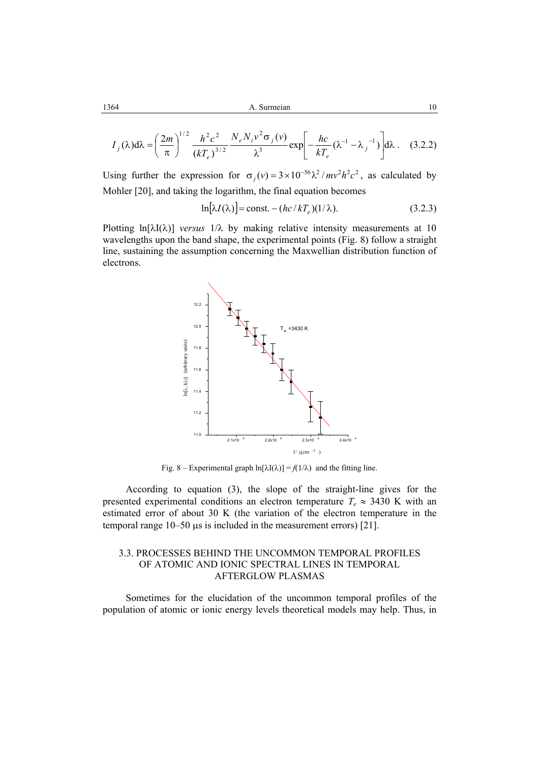1364 **A.** Surmeian 10

$$
I_j(\lambda) d\lambda = \left(\frac{2m}{\pi}\right)^{1/2} \frac{h^2 c^2}{(kT_e)^{3/2}} \frac{N_e N_i v^2 \sigma_j(v)}{\lambda^3} \exp\left[-\frac{hc}{kT_e} (\lambda^{-1} - \lambda_j^{-1})\right] d\lambda. \quad (3.2.2)
$$

Using further the expression for  $\sigma_j(v) = 3 \times 10^{-56} \lambda^2 / mv^2 h^2 c^2$ , as calculated by Mohler [20], and taking the logarithm, the final equation becomes

$$
\ln[\lambda I(\lambda)] = \text{const.} - (hc/kT_e)(1/\lambda). \tag{3.2.3}
$$

Plotting ln[λI(λ)] *versus* 1/λ by making relative intensity measurements at 10 wavelengths upon the band shape, the experimental points (Fig. 8) follow a straight line, sustaining the assumption concerning the Maxwellian distribution function of electrons.



Fig. 8 – Experimental graph  $\ln[\lambda I(\lambda)] = f(1/\lambda)$  and the fitting line.

According to equation (3), the slope of the straight-line gives for the presented experimental conditions an electron temperature  $T_e \approx 3430$  K with an estimated error of about 30 K (the variation of the electron temperature in the temporal range 10–50 µs is included in the measurement errors) [21].

### 3.3. PROCESSES BEHIND THE UNCOMMON TEMPORAL PROFILES OF ATOMIC AND IONIC SPECTRAL LINES IN TEMPORAL AFTERGLOW PLASMAS

Sometimes for the elucidation of the uncommon temporal profiles of the population of atomic or ionic energy levels theoretical models may help. Thus, in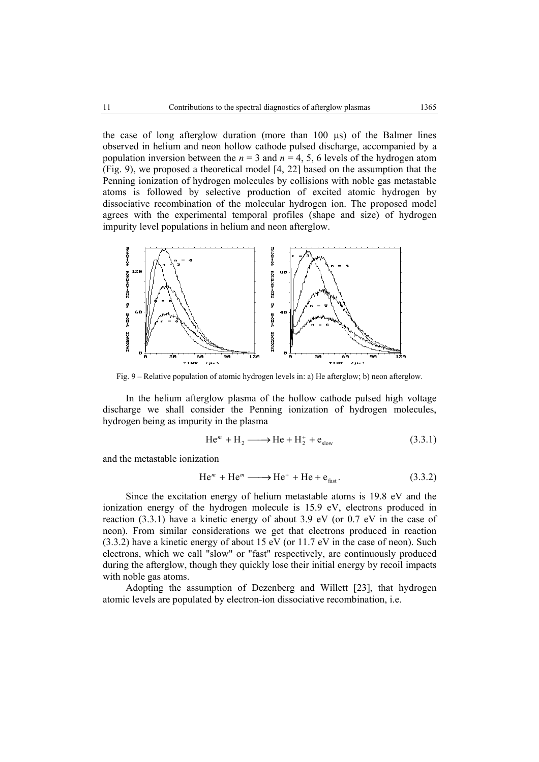the case of long afterglow duration (more than 100 µs) of the Balmer lines observed in helium and neon hollow cathode pulsed discharge, accompanied by a population inversion between the  $n = 3$  and  $n = 4, 5, 6$  levels of the hydrogen atom (Fig. 9), we proposed a theoretical model [4, 22] based on the assumption that the Penning ionization of hydrogen molecules by collisions with noble gas metastable atoms is followed by selective production of excited atomic hydrogen by dissociative recombination of the molecular hydrogen ion. The proposed model agrees with the experimental temporal profiles (shape and size) of hydrogen impurity level populations in helium and neon afterglow.



Fig. 9 – Relative population of atomic hydrogen levels in: a) He afterglow; b) neon afterglow.

In the helium afterglow plasma of the hollow cathode pulsed high voltage discharge we shall consider the Penning ionization of hydrogen molecules, hydrogen being as impurity in the plasma

$$
\text{He}^m + \text{H}_2 \longrightarrow \text{He} + \text{H}_2^+ + \text{e}_{\text{slow}} \tag{3.3.1}
$$

and the metastable ionization

$$
\text{He}^m + \text{He}^m \longrightarrow \text{He}^+ + \text{He} + \text{e}_{\text{fast}}.\tag{3.3.2}
$$

Since the excitation energy of helium metastable atoms is 19.8 eV and the ionization energy of the hydrogen molecule is 15.9 eV, electrons produced in reaction (3.3.1) have a kinetic energy of about 3.9 eV (or 0.7 eV in the case of neon). From similar considerations we get that electrons produced in reaction (3.3.2) have a kinetic energy of about 15 eV (or 11.7 eV in the case of neon). Such electrons, which we call "slow" or "fast" respectively, are continuously produced during the afterglow, though they quickly lose their initial energy by recoil impacts with noble gas atoms.

 Adopting the assumption of Dezenberg and Willett [23], that hydrogen atomic levels are populated by electron-ion dissociative recombination, i.e.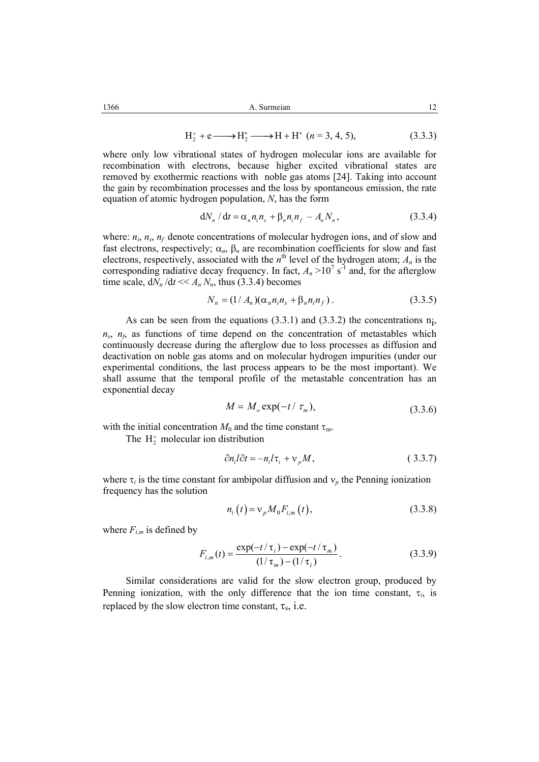$$
H_2^+ + e \longrightarrow H_2^* \longrightarrow H + H^* \quad (n = 3, 4, 5), \tag{3.3.3}
$$

where only low vibrational states of hydrogen molecular ions are available for recombination with electrons, because higher excited vibrational states are removed by exothermic reactions with noble gas atoms [24]. Taking into account the gain by recombination processes and the loss by spontaneous emission, the rate equation of atomic hydrogen population, *N*, has the form

$$
dN_n / dt = \alpha_n n_i n_s + \beta_n n_i n_f - A_n N_n, \qquad (3.3.4)
$$

where:  $n_i$ ,  $n_s$ ,  $n_f$  denote concentrations of molecular hydrogen ions, and of slow and fast electrons, respectively;  $\alpha_n$ ,  $\beta_n$  are recombination coefficients for slow and fast electrons, respectively, associated with the  $n^{\text{th}}$  level of the hydrogen atom;  $A_n$  is the corresponding radiative decay frequency. In fact,  $A_n > 10^7$  s<sup>-1</sup> and, for the afterglow time scale,  $dN_n/dt \ll A_n N_n$ , thus (3.3.4) becomes

$$
N_n = (1/A_n)(\alpha_n n_i n_s + \beta_n n_i n_f).
$$
 (3.3.5)

As can be seen from the equations  $(3.3.1)$  and  $(3.3.2)$  the concentrations n<sub>i</sub>,  $n_s$ ,  $n_f$  as functions of time depend on the concentration of metastables which continuously decrease during the afterglow due to loss processes as diffusion and deactivation on noble gas atoms and on molecular hydrogen impurities (under our experimental conditions, the last process appears to be the most important). We shall assume that the temporal profile of the metastable concentration has an exponential decay

$$
M = M_o \exp(-t/\tau_m), \tag{3.3.6}
$$

with the initial concentration  $M_0$  and the time constant  $\tau_m$ .

The  $H_2^+$  molecular ion distribution

$$
\partial n_i l \partial t = -n_i l \tau_i + \nu_p M, \qquad (3.3.7)
$$

where  $\tau_i$  is the time constant for ambipolar diffusion and  $v_p$  the Penning ionization frequency has the solution

$$
n_i(t) = v_p M_0 F_{i,m}(t),
$$
\n(3.3.8)

where  $F_{im}$  is defined by

$$
F_{i,m}(t) = \frac{\exp(-t/\tau_i) - \exp(-t/\tau_m)}{(1/\tau_m) - (1/\tau_i)}.
$$
 (3.3.9)

Similar considerations are valid for the slow electron group, produced by Penning ionization, with the only difference that the ion time constant,  $\tau_i$ , is replaced by the slow electron time constant,  $\tau_s$ , i.e.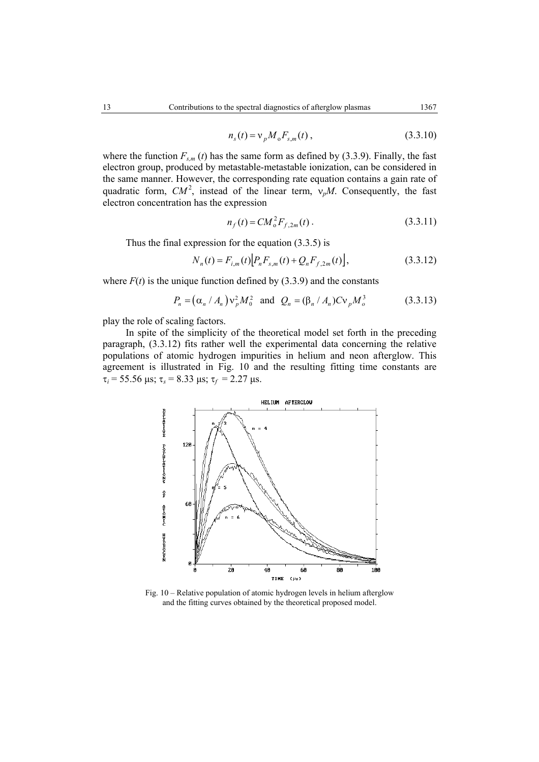$$
n_s(t) = v_p M_o F_{s,m}(t) ,
$$
 (3.3.10)

where the function  $F_{s,m}(t)$  has the same form as defined by (3.3.9). Finally, the fast electron group, produced by metastable-metastable ionization, can be considered in the same manner. However, the corresponding rate equation contains a gain rate of quadratic form,  $CM^2$ , instead of the linear term,  $v_pM$ . Consequently, the fast electron concentration has the expression

$$
n_f(t) = CM_o^2 F_{f,2m}(t) \,. \tag{3.3.11}
$$

Thus the final expression for the equation (3.3.5) is

$$
N_n(t) = F_{i,m}(t) \Big[ P_n F_{s,m}(t) + Q_n F_{f,2m}(t) \Big],
$$
\n(3.3.12)

where  $F(t)$  is the unique function defined by (3.3.9) and the constants

$$
P_n = (\alpha_n / A_n) v_p^2 M_0^2 \text{ and } Q_n = (\beta_n / A_n) C v_p M_0^3 \qquad (3.3.13)
$$

play the role of scaling factors.

 In spite of the simplicity of the theoretical model set forth in the preceding paragraph, (3.3.12) fits rather well the experimental data concerning the relative populations of atomic hydrogen impurities in helium and neon afterglow. This agreement is illustrated in Fig. 10 and the resulting fitting time constants are τ*i* = 55.56 µs; τ*s* = 8.33 µs; τ*f* = 2.27 µs.



Fig. 10 – Relative population of atomic hydrogen levels in helium afterglow and the fitting curves obtained by the theoretical proposed model.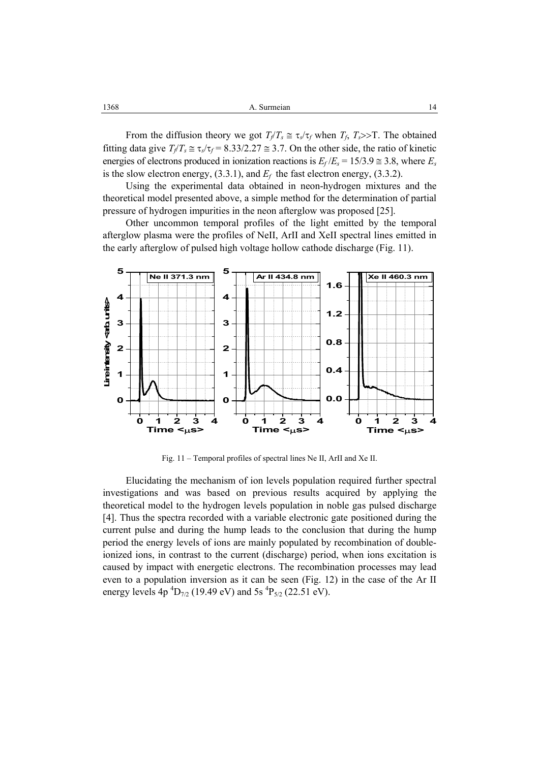From the diffusion theory we got  $T_f/T_s \cong \tau_s/\tau_f$  when  $T_f$ ,  $T_s>>T$ . The obtained fitting data give  $T_f/T_s \approx \tau_s/\tau_f = 8.33/2.27 \approx 3.7$ . On the other side, the ratio of kinetic energies of electrons produced in ionization reactions is  $E_f/E_s = 15/3.9 \approx 3.8$ , where  $E_s$ is the slow electron energy,  $(3.3.1)$ , and  $E_f$  the fast electron energy,  $(3.3.2)$ .

Using the experimental data obtained in neon-hydrogen mixtures and the theoretical model presented above, a simple method for the determination of partial pressure of hydrogen impurities in the neon afterglow was proposed [25].

Other uncommon temporal profiles of the light emitted by the temporal afterglow plasma were the profiles of NeII, ArII and XeII spectral lines emitted in the early afterglow of pulsed high voltage hollow cathode discharge (Fig. 11).



Fig. 11 – Temporal profiles of spectral lines Ne II, ArII and Xe II.

Elucidating the mechanism of ion levels population required further spectral investigations and was based on previous results acquired by applying the theoretical model to the hydrogen levels population in noble gas pulsed discharge [4]. Thus the spectra recorded with a variable electronic gate positioned during the current pulse and during the hump leads to the conclusion that during the hump period the energy levels of ions are mainly populated by recombination of doubleionized ions, in contrast to the current (discharge) period, when ions excitation is caused by impact with energetic electrons. The recombination processes may lead even to a population inversion as it can be seen (Fig. 12) in the case of the Ar II energy levels  $4p^{4}D_{7/2}$  (19.49 eV) and 5s  ${}^{4}P_{5/2}$  (22.51 eV).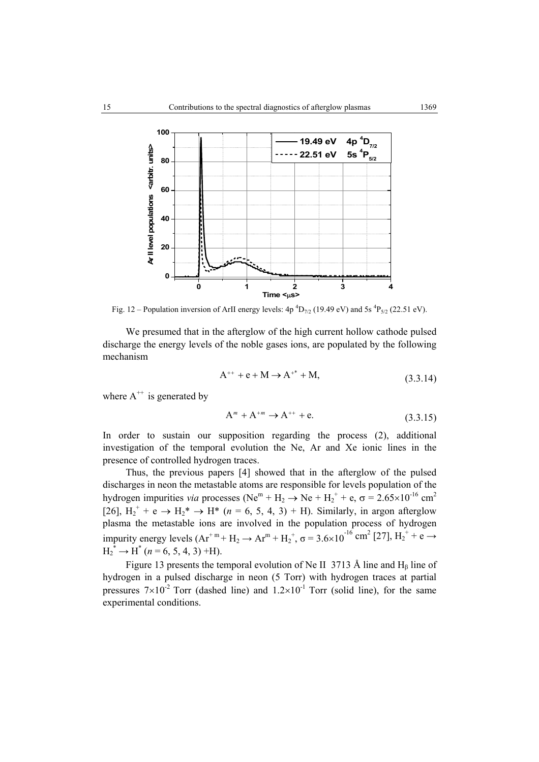

Fig. 12 – Population inversion of ArII energy levels:  $4p^{4}D_{7/2}$  (19.49 eV) and 5s  ${}^{4}P_{5/2}$  (22.51 eV).

We presumed that in the afterglow of the high current hollow cathode pulsed discharge the energy levels of the noble gases ions, are populated by the following mechanism

$$
A^{++} + e + M \rightarrow A^{+*} + M,
$$
 (3.3.14)

where  $A^{++}$  is generated by

$$
A^{m} + A^{+m} \to A^{++} + e. \tag{3.3.15}
$$

In order to sustain our supposition regarding the process (2), additional investigation of the temporal evolution the Ne, Ar and Xe ionic lines in the presence of controlled hydrogen traces.

Thus, the previous papers [4] showed that in the afterglow of the pulsed discharges in neon the metastable atoms are responsible for levels population of the hydrogen impurities *via* processes (Ne<sup>m</sup> + H<sub>2</sub>  $\rightarrow$  Ne + H<sub>2</sub><sup>+</sup> + e,  $\sigma$  = 2.65×10<sup>-16</sup> cm<sup>2</sup> [26],  $H_2^+$  + e  $\rightarrow$   $H_2^*$   $\rightarrow$  H<sup>\*</sup> (*n* = 6, 5, 4, 3) + H). Similarly, in argon afterglow plasma the metastable ions are involved in the population process of hydrogen impurity energy levels  $(Ar^{+m} + H_2 \rightarrow Ar^m + H_2^+, \sigma = 3.6 \times 10^{-16} \text{ cm}^2 [27], H_2^+ + e \rightarrow$  $H_2^* \to H^*$  (*n* = 6, 5, 4, 3) +H).

Figure 13 presents the temporal evolution of Ne II 3713 Å line and  $H_\beta$  line of hydrogen in a pulsed discharge in neon (5 Torr) with hydrogen traces at partial pressures  $7 \times 10^{-2}$  Torr (dashed line) and  $1.2 \times 10^{-1}$  Torr (solid line), for the same experimental conditions.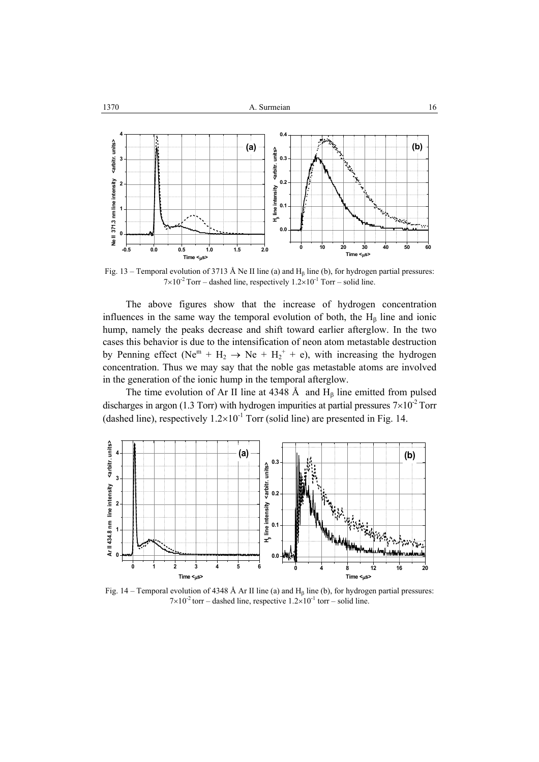

Fig. 13 – Temporal evolution of 3713 Å Ne II line (a) and  $H<sub>β</sub>$  line (b), for hydrogen partial pressures:  $7 \times 10^{-2}$  Torr – dashed line, respectively  $1.2 \times 10^{-1}$  Torr – solid line.

 The above figures show that the increase of hydrogen concentration influences in the same way the temporal evolution of both, the  $H_\beta$  line and ionic hump, namely the peaks decrease and shift toward earlier afterglow. In the two cases this behavior is due to the intensification of neon atom metastable destruction by Penning effect (Ne<sup>m</sup> + H<sub>2</sub>  $\rightarrow$  Ne + H<sub>2</sub><sup>+</sup> + e), with increasing the hydrogen concentration. Thus we may say that the noble gas metastable atoms are involved in the generation of the ionic hump in the temporal afterglow.

The time evolution of Ar II line at 4348 Å and  $H<sub>β</sub>$  line emitted from pulsed discharges in argon (1.3 Torr) with hydrogen impurities at partial pressures  $7\times10^{-2}$  Torr (dashed line), respectively  $1.2 \times 10^{-1}$  Torr (solid line) are presented in Fig. 14.



Fig. 14 – Temporal evolution of 4348 Å Ar II line (a) and  $H<sub>B</sub>$  line (b), for hydrogen partial pressures:  $7 \times 10^{-2}$  torr – dashed line, respective  $1.2 \times 10^{-1}$  torr – solid line.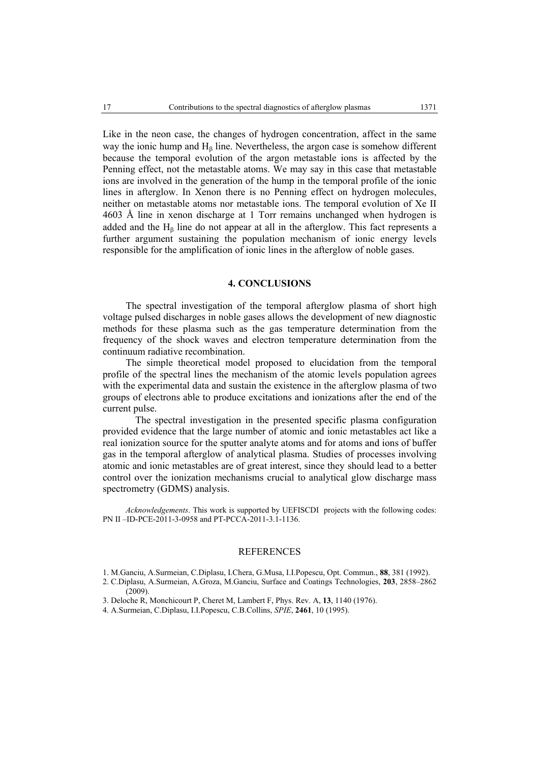Like in the neon case, the changes of hydrogen concentration, affect in the same way the ionic hump and  $H<sub>β</sub>$  line. Nevertheless, the argon case is somehow different because the temporal evolution of the argon metastable ions is affected by the Penning effect, not the metastable atoms. We may say in this case that metastable ions are involved in the generation of the hump in the temporal profile of the ionic lines in afterglow. In Xenon there is no Penning effect on hydrogen molecules, neither on metastable atoms nor metastable ions. The temporal evolution of Xe II 4603 Å line in xenon discharge at 1 Torr remains unchanged when hydrogen is added and the  $H_\beta$  line do not appear at all in the afterglow. This fact represents a further argument sustaining the population mechanism of ionic energy levels responsible for the amplification of ionic lines in the afterglow of noble gases.

### **4. CONCLUSIONS**

The spectral investigation of the temporal afterglow plasma of short high voltage pulsed discharges in noble gases allows the development of new diagnostic methods for these plasma such as the gas temperature determination from the frequency of the shock waves and electron temperature determination from the continuum radiative recombination.

 The simple theoretical model proposed to elucidation from the temporal profile of the spectral lines the mechanism of the atomic levels population agrees with the experimental data and sustain the existence in the afterglow plasma of two groups of electrons able to produce excitations and ionizations after the end of the current pulse.

The spectral investigation in the presented specific plasma configuration provided evidence that the large number of atomic and ionic metastables act like a real ionization source for the sputter analyte atoms and for atoms and ions of buffer gas in the temporal afterglow of analytical plasma. Studies of processes involving atomic and ionic metastables are of great interest, since they should lead to a better control over the ionization mechanisms crucial to analytical glow discharge mass spectrometry (GDMS) analysis.

*Acknowledgements*. This work is supported by UEFISCDI projects with the following codes: PN II –ID-PCE-2011-3-0958 and PT-PCCA-2011-3.1-1136.

#### REFERENCES

1. M.Ganciu, A.Surmeian, C.Diplasu, I.Chera, G.Musa, I.I.Popescu, Opt. Commun., **88**, 381 (1992).

2. C.Diplasu, A.Surmeian, A.Groza, M.Ganciu, Surface and Coatings Technologies, **203**, 2858–2862 (2009).

- 3. Deloche R, Monchicourt P, Cheret M, Lambert F, Phys. Rev. A, **13**, 1140 (1976).
- 4. A.Surmeian, C.Diplasu, I.I.Popescu, C.B.Collins, *SPIE*, **2461**, 10 (1995).